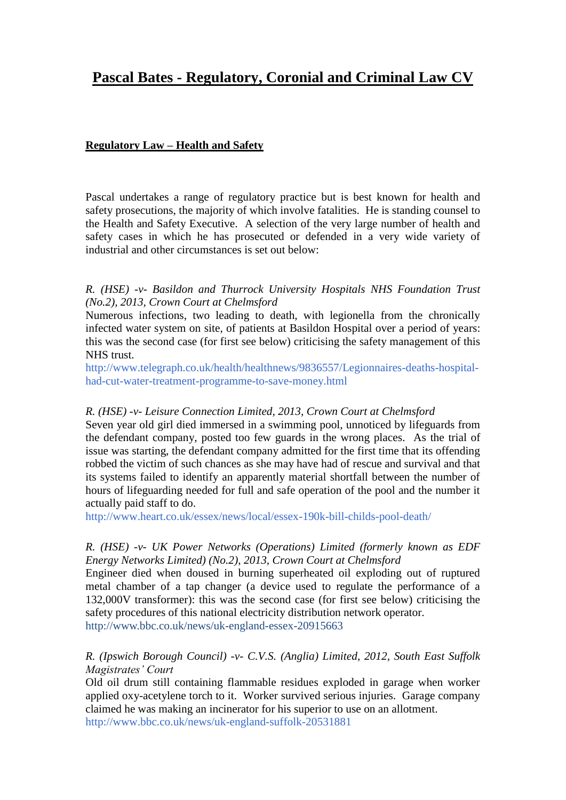# **Pascal Bates - Regulatory, Coronial and Criminal Law CV**

# **Regulatory Law – Health and Safety**

Pascal undertakes a range of regulatory practice but is best known for health and safety prosecutions, the majority of which involve fatalities. He is standing counsel to the Health and Safety Executive. A selection of the very large number of health and safety cases in which he has prosecuted or defended in a very wide variety of industrial and other circumstances is set out below:

# *R. (HSE) -v- Basildon and Thurrock University Hospitals NHS Foundation Trust (No.2), 2013, Crown Court at Chelmsford*

Numerous infections, two leading to death, with legionella from the chronically infected water system on site, of patients at Basildon Hospital over a period of years: this was the second case (for first see below) criticising the safety management of this NHS trust.

[http://www.telegraph.co.uk/health/healthnews/9836557/Legionnaires-deaths-hospital](http://www.telegraph.co.uk/health/healthnews/9836557/Legionnaires-deaths-hospital-had-cut-water-treatment-programme-to-save-money.html)[had-cut-water-treatment-programme-to-save-money.html](http://www.telegraph.co.uk/health/healthnews/9836557/Legionnaires-deaths-hospital-had-cut-water-treatment-programme-to-save-money.html)

### *R. (HSE) -v- Leisure Connection Limited, 2013, Crown Court at Chelmsford*

Seven year old girl died immersed in a swimming pool, unnoticed by lifeguards from the defendant company, posted too few guards in the wrong places. As the trial of issue was starting, the defendant company admitted for the first time that its offending robbed the victim of such chances as she may have had of rescue and survival and that its systems failed to identify an apparently material shortfall between the number of hours of lifeguarding needed for full and safe operation of the pool and the number it actually paid staff to do.

<http://www.heart.co.uk/essex/news/local/essex-190k-bill-childs-pool-death/>

### *R. (HSE) -v- UK Power Networks (Operations) Limited (formerly known as EDF Energy Networks Limited) (No.2), 2013, Crown Court at Chelmsford*

Engineer died when doused in burning superheated oil exploding out of ruptured metal chamber of a tap changer (a device used to regulate the performance of a 132,000V transformer): this was the second case (for first see below) criticising the safety procedures of this national electricity distribution network operator. <http://www.bbc.co.uk/news/uk-england-essex-20915663>

*R. (Ipswich Borough Council) -v- C.V.S. (Anglia) Limited, 2012, South East Suffolk Magistrates' Court*

Old oil drum still containing flammable residues exploded in garage when worker applied oxy-acetylene torch to it. Worker survived serious injuries. Garage company claimed he was making an incinerator for his superior to use on an allotment. <http://www.bbc.co.uk/news/uk-england-suffolk-20531881>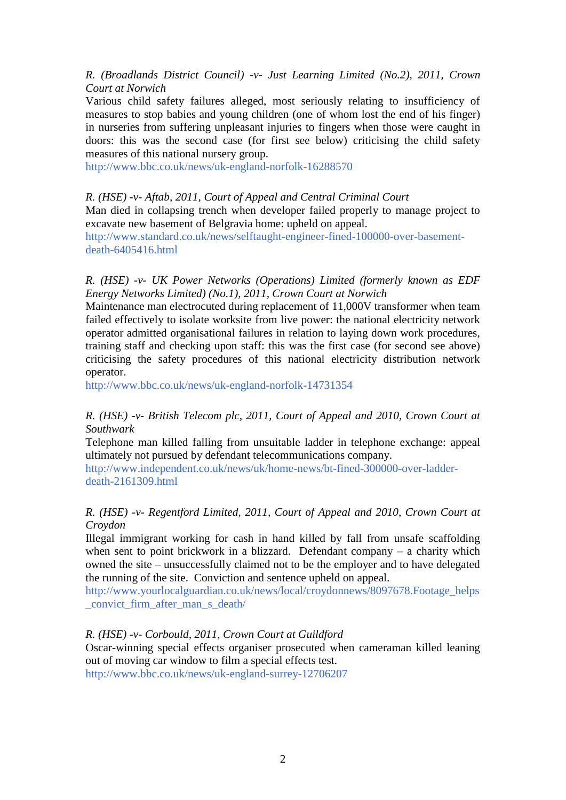# *R. (Broadlands District Council) -v- Just Learning Limited (No.2), 2011, Crown Court at Norwich*

Various child safety failures alleged, most seriously relating to insufficiency of measures to stop babies and young children (one of whom lost the end of his finger) in nurseries from suffering unpleasant injuries to fingers when those were caught in doors: this was the second case (for first see below) criticising the child safety measures of this national nursery group.

<http://www.bbc.co.uk/news/uk-england-norfolk-16288570>

### *R. (HSE) -v- Aftab, 2011, Court of Appeal and Central Criminal Court*

Man died in collapsing trench when developer failed properly to manage project to excavate new basement of Belgravia home: upheld on appeal.

[http://www.standard.co.uk/news/selftaught-engineer-fined-100000-over-basement](http://www.standard.co.uk/news/selftaught-engineer-fined-100000-over-basement-death-6405416.html)[death-6405416.html](http://www.standard.co.uk/news/selftaught-engineer-fined-100000-over-basement-death-6405416.html)

### *R. (HSE) -v- UK Power Networks (Operations) Limited (formerly known as EDF Energy Networks Limited) (No.1), 2011, Crown Court at Norwich*

Maintenance man electrocuted during replacement of 11,000V transformer when team failed effectively to isolate worksite from live power: the national electricity network operator admitted organisational failures in relation to laying down work procedures, training staff and checking upon staff: this was the first case (for second see above) criticising the safety procedures of this national electricity distribution network operator.

<http://www.bbc.co.uk/news/uk-england-norfolk-14731354>

# *R. (HSE) -v- British Telecom plc, 2011, Court of Appeal and 2010, Crown Court at Southwark*

Telephone man killed falling from unsuitable ladder in telephone exchange: appeal ultimately not pursued by defendant telecommunications company.

[http://www.independent.co.uk/news/uk/home-news/bt-fined-300000-over-ladder](http://www.independent.co.uk/news/uk/home-news/bt-fined-300000-over-ladder-death-2161309.html)[death-2161309.html](http://www.independent.co.uk/news/uk/home-news/bt-fined-300000-over-ladder-death-2161309.html)

# *R. (HSE) -v- Regentford Limited, 2011, Court of Appeal and 2010, Crown Court at Croydon*

Illegal immigrant working for cash in hand killed by fall from unsafe scaffolding when sent to point brickwork in a blizzard. Defendant company – a charity which owned the site – unsuccessfully claimed not to be the employer and to have delegated the running of the site. Conviction and sentence upheld on appeal.

[http://www.yourlocalguardian.co.uk/news/local/croydonnews/8097678.Footage\\_helps](http://www.yourlocalguardian.co.uk/news/local/croydonnews/8097678.Footage_helps_convict_firm_after_man_s_death/) [\\_convict\\_firm\\_after\\_man\\_s\\_death/](http://www.yourlocalguardian.co.uk/news/local/croydonnews/8097678.Footage_helps_convict_firm_after_man_s_death/)

# *R. (HSE) -v- Corbould, 2011, Crown Court at Guildford*

Oscar-winning special effects organiser prosecuted when cameraman killed leaning out of moving car window to film a special effects test.

<http://www.bbc.co.uk/news/uk-england-surrey-12706207>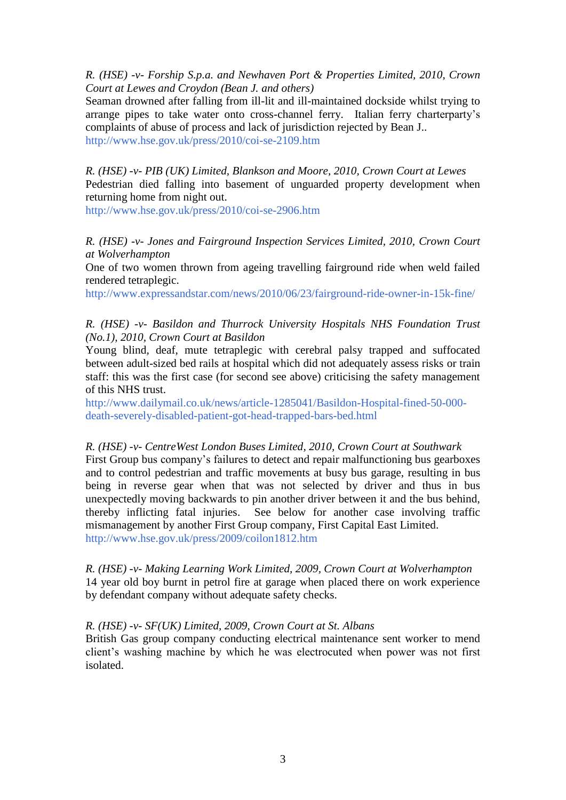*R. (HSE) -v- Forship S.p.a. and Newhaven Port & Properties Limited, 2010, Crown Court at Lewes and Croydon (Bean J. and others)*

Seaman drowned after falling from ill-lit and ill-maintained dockside whilst trying to arrange pipes to take water onto cross-channel ferry. Italian ferry charterparty's complaints of abuse of process and lack of jurisdiction rejected by Bean J.. <http://www.hse.gov.uk/press/2010/coi-se-2109.htm>

*R. (HSE) -v- PIB (UK) Limited, Blankson and Moore, 2010, Crown Court at Lewes* Pedestrian died falling into basement of unguarded property development when returning home from night out.

<http://www.hse.gov.uk/press/2010/coi-se-2906.htm>

*R. (HSE) -v- Jones and Fairground Inspection Services Limited, 2010, Crown Court at Wolverhampton*

One of two women thrown from ageing travelling fairground ride when weld failed rendered tetraplegic.

<http://www.expressandstar.com/news/2010/06/23/fairground-ride-owner-in-15k-fine/>

*R. (HSE) -v- Basildon and Thurrock University Hospitals NHS Foundation Trust (No.1), 2010, Crown Court at Basildon*

Young blind, deaf, mute tetraplegic with cerebral palsy trapped and suffocated between adult-sized bed rails at hospital which did not adequately assess risks or train staff: this was the first case (for second see above) criticising the safety management of this NHS trust.

[http://www.dailymail.co.uk/news/article-1285041/Basildon-Hospital-fined-50-000](http://www.dailymail.co.uk/news/article-1285041/Basildon-Hospital-fined-50-000-death-severely-disabled-patient-got-head-trapped-bars-bed.html) [death-severely-disabled-patient-got-head-trapped-bars-bed.html](http://www.dailymail.co.uk/news/article-1285041/Basildon-Hospital-fined-50-000-death-severely-disabled-patient-got-head-trapped-bars-bed.html)

*R. (HSE) -v- CentreWest London Buses Limited, 2010, Crown Court at Southwark*

First Group bus company's failures to detect and repair malfunctioning bus gearboxes and to control pedestrian and traffic movements at busy bus garage, resulting in bus being in reverse gear when that was not selected by driver and thus in bus unexpectedly moving backwards to pin another driver between it and the bus behind, thereby inflicting fatal injuries. See below for another case involving traffic mismanagement by another First Group company, First Capital East Limited. <http://www.hse.gov.uk/press/2009/coilon1812.htm>

*R. (HSE) -v- Making Learning Work Limited, 2009, Crown Court at Wolverhampton* 14 year old boy burnt in petrol fire at garage when placed there on work experience by defendant company without adequate safety checks.

#### *R. (HSE) -v- SF(UK) Limited, 2009, Crown Court at St. Albans*

British Gas group company conducting electrical maintenance sent worker to mend client's washing machine by which he was electrocuted when power was not first isolated.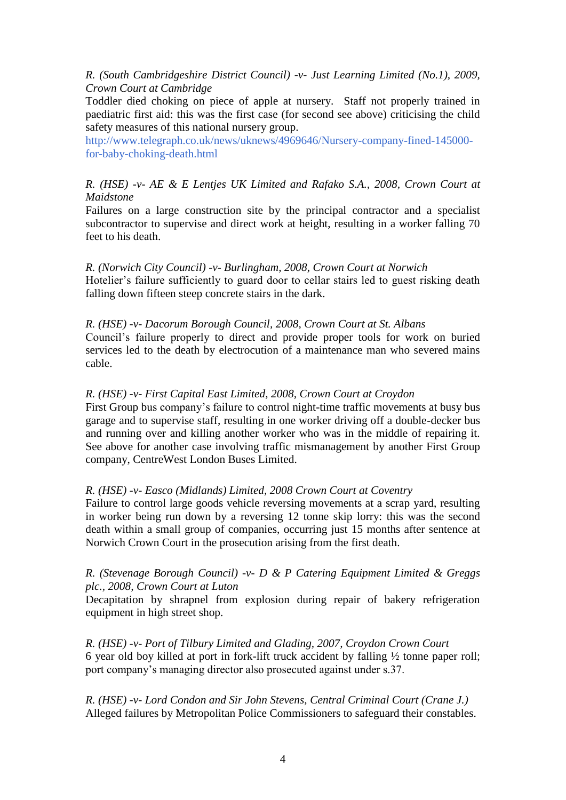# *R. (South Cambridgeshire District Council) -v- Just Learning Limited (No.1), 2009, Crown Court at Cambridge*

Toddler died choking on piece of apple at nursery. Staff not properly trained in paediatric first aid: this was the first case (for second see above) criticising the child safety measures of this national nursery group.

[http://www.telegraph.co.uk/news/uknews/4969646/Nursery-company-fined-145000](http://www.telegraph.co.uk/news/uknews/4969646/Nursery-company-fined-145000-for-baby-choking-death.html) [for-baby-choking-death.html](http://www.telegraph.co.uk/news/uknews/4969646/Nursery-company-fined-145000-for-baby-choking-death.html)

# *R. (HSE) -v- AE & E Lentjes UK Limited and Rafako S.A., 2008, Crown Court at Maidstone*

Failures on a large construction site by the principal contractor and a specialist subcontractor to supervise and direct work at height, resulting in a worker falling 70 feet to his death.

*R. (Norwich City Council) -v- Burlingham, 2008, Crown Court at Norwich* Hotelier's failure sufficiently to guard door to cellar stairs led to guest risking death falling down fifteen steep concrete stairs in the dark.

### *R. (HSE) -v- Dacorum Borough Council, 2008, Crown Court at St. Albans*

Council's failure properly to direct and provide proper tools for work on buried services led to the death by electrocution of a maintenance man who severed mains cable.

### *R. (HSE) -v- First Capital East Limited, 2008, Crown Court at Croydon*

First Group bus company's failure to control night-time traffic movements at busy bus garage and to supervise staff, resulting in one worker driving off a double-decker bus and running over and killing another worker who was in the middle of repairing it. See above for another case involving traffic mismanagement by another First Group company, CentreWest London Buses Limited.

### *R. (HSE) -v- Easco (Midlands) Limited, 2008 Crown Court at Coventry*

Failure to control large goods vehicle reversing movements at a scrap yard, resulting in worker being run down by a reversing 12 tonne skip lorry: this was the second death within a small group of companies, occurring just 15 months after sentence at Norwich Crown Court in the prosecution arising from the first death.

# *R. (Stevenage Borough Council) -v- D & P Catering Equipment Limited & Greggs plc., 2008, Crown Court at Luton*

Decapitation by shrapnel from explosion during repair of bakery refrigeration equipment in high street shop.

*R. (HSE) -v- Port of Tilbury Limited and Glading, 2007, Croydon Crown Court* 6 year old boy killed at port in fork-lift truck accident by falling ½ tonne paper roll; port company's managing director also prosecuted against under s.37.

*R. (HSE) -v- Lord Condon and Sir John Stevens, Central Criminal Court (Crane J.)* Alleged failures by Metropolitan Police Commissioners to safeguard their constables.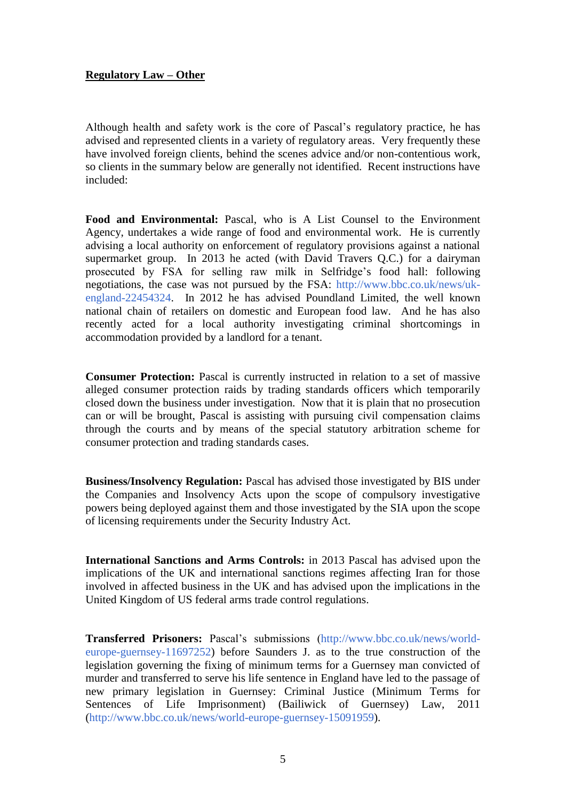# **Regulatory Law – Other**

Although health and safety work is the core of Pascal's regulatory practice, he has advised and represented clients in a variety of regulatory areas. Very frequently these have involved foreign clients, behind the scenes advice and/or non-contentious work, so clients in the summary below are generally not identified. Recent instructions have included:

**Food and Environmental:** Pascal, who is A List Counsel to the Environment Agency, undertakes a wide range of food and environmental work. He is currently advising a local authority on enforcement of regulatory provisions against a national supermarket group. In 2013 he acted (with David Travers Q.C.) for a dairyman prosecuted by FSA for selling raw milk in Selfridge's food hall: following negotiations, the case was not pursued by the FSA: [http://www.bbc.co.uk/news/uk](http://www.bbc.co.uk/news/uk-england-22454324)[england-22454324.](http://www.bbc.co.uk/news/uk-england-22454324) In 2012 he has advised Poundland Limited, the well known national chain of retailers on domestic and European food law. And he has also recently acted for a local authority investigating criminal shortcomings in accommodation provided by a landlord for a tenant.

**Consumer Protection:** Pascal is currently instructed in relation to a set of massive alleged consumer protection raids by trading standards officers which temporarily closed down the business under investigation. Now that it is plain that no prosecution can or will be brought, Pascal is assisting with pursuing civil compensation claims through the courts and by means of the special statutory arbitration scheme for consumer protection and trading standards cases.

**Business/Insolvency Regulation:** Pascal has advised those investigated by BIS under the Companies and Insolvency Acts upon the scope of compulsory investigative powers being deployed against them and those investigated by the SIA upon the scope of licensing requirements under the Security Industry Act.

**International Sanctions and Arms Controls:** in 2013 Pascal has advised upon the implications of the UK and international sanctions regimes affecting Iran for those involved in affected business in the UK and has advised upon the implications in the United Kingdom of US federal arms trade control regulations.

**Transferred Prisoners:** Pascal's submissions [\(http://www.bbc.co.uk/news/world](http://www.bbc.co.uk/news/world-europe-guernsey-11697252)[europe-guernsey-11697252\)](http://www.bbc.co.uk/news/world-europe-guernsey-11697252) before Saunders J. as to the true construction of the legislation governing the fixing of minimum terms for a Guernsey man convicted of murder and transferred to serve his life sentence in England have led to the passage of new primary legislation in Guernsey: Criminal Justice (Minimum Terms for Sentences of Life Imprisonment) (Bailiwick of Guernsey) Law, 2011 [\(http://www.bbc.co.uk/news/world-europe-guernsey-15091959\)](http://www.bbc.co.uk/news/world-europe-guernsey-15091959).